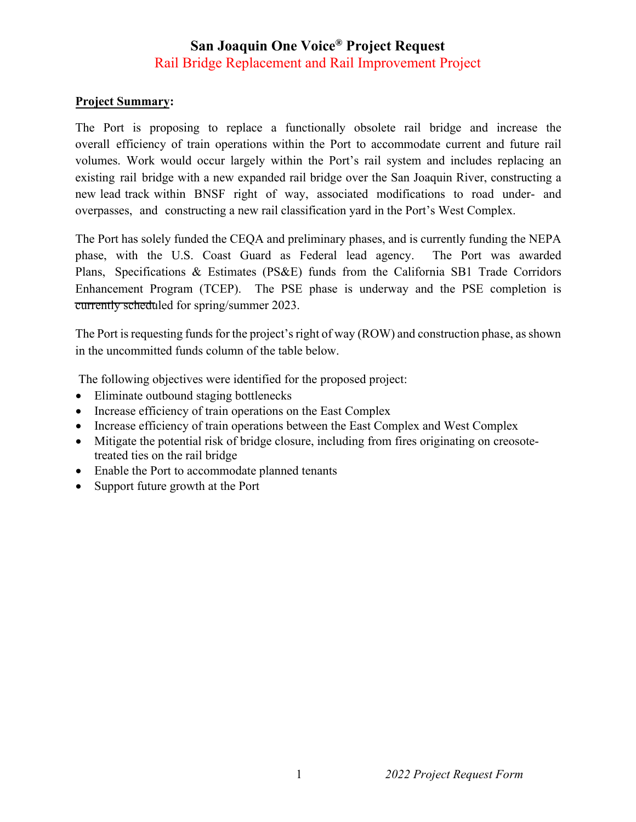## **San Joaquin One Voice® Project Request**  Rail Bridge Replacement and Rail Improvement Project

## **Project Summary:**

The Port is proposing to replace a functionally obsolete rail bridge and increase the overall efficiency of train operations within the Port to accommodate current and future rail volumes. Work would occur largely within the Port's rail system and includes replacing an existing rail bridge with a new expanded rail bridge over the San Joaquin River, constructing a new lead track within BNSF right of way, associated modifications to road under- and overpasses, and constructing a new rail classification yard in the Port's West Complex.

The Port has solely funded the CEQA and preliminary phases, and is currently funding the NEPA phase, with the U.S. Coast Guard as Federal lead agency. The Port was awarded Plans, Specifications & Estimates (PS&E) funds from the California SB1 Trade Corridors Enhancement Program (TCEP). The PSE phase is underway and the PSE completion is currently scheduled for spring/summer 2023.

The Port is requesting funds for the project's right of way (ROW) and construction phase, as shown in the uncommitted funds column of the table below.

The following objectives were identified for the proposed project:

- Eliminate outbound staging bottlenecks
- Increase efficiency of train operations on the East Complex
- Increase efficiency of train operations between the East Complex and West Complex
- Mitigate the potential risk of bridge closure, including from fires originating on creosotetreated ties on the rail bridge
- Enable the Port to accommodate planned tenants
- Support future growth at the Port